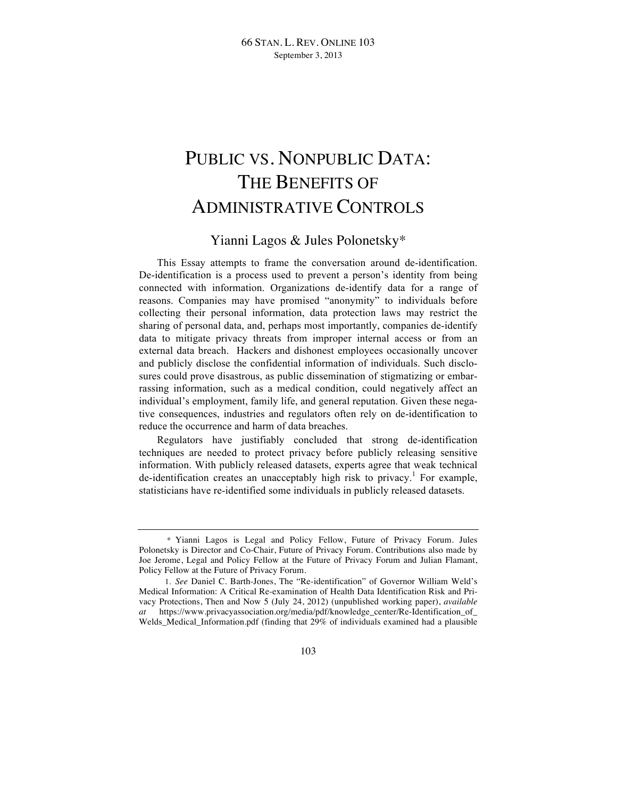# PUBLIC VS. NONPUBLIC DATA: THE BENEFITS OF ADMINISTRATIVE CONTROLS

## Yianni Lagos & Jules Polonetsky\*

This Essay attempts to frame the conversation around de-identification. De-identification is a process used to prevent a person's identity from being connected with information. Organizations de-identify data for a range of reasons. Companies may have promised "anonymity" to individuals before collecting their personal information, data protection laws may restrict the sharing of personal data, and, perhaps most importantly, companies de-identify data to mitigate privacy threats from improper internal access or from an external data breach. Hackers and dishonest employees occasionally uncover and publicly disclose the confidential information of individuals. Such disclosures could prove disastrous, as public dissemination of stigmatizing or embarrassing information, such as a medical condition, could negatively affect an individual's employment, family life, and general reputation. Given these negative consequences, industries and regulators often rely on de-identification to reduce the occurrence and harm of data breaches.

Regulators have justifiably concluded that strong de-identification techniques are needed to protect privacy before publicly releasing sensitive information. With publicly released datasets, experts agree that weak technical de-identification creates an unacceptably high risk to privacy.<sup>1</sup> For example, statisticians have re-identified some individuals in publicly released datasets.

<sup>\*</sup> Yianni Lagos is Legal and Policy Fellow, Future of Privacy Forum. Jules Polonetsky is Director and Co-Chair, Future of Privacy Forum. Contributions also made by Joe Jerome, Legal and Policy Fellow at the Future of Privacy Forum and Julian Flamant, Policy Fellow at the Future of Privacy Forum.

<sup>1.</sup> *See* Daniel C. Barth-Jones, The "Re-identification" of Governor William Weld's Medical Information: A Critical Re-examination of Health Data Identification Risk and Privacy Protections, Then and Now 5 (July 24, 2012) (unpublished working paper), *available at* https://www.privacyassociation.org/media/pdf/knowledge\_center/Re-Identification\_of\_ Welds\_Medical\_Information.pdf (finding that 29% of individuals examined had a plausible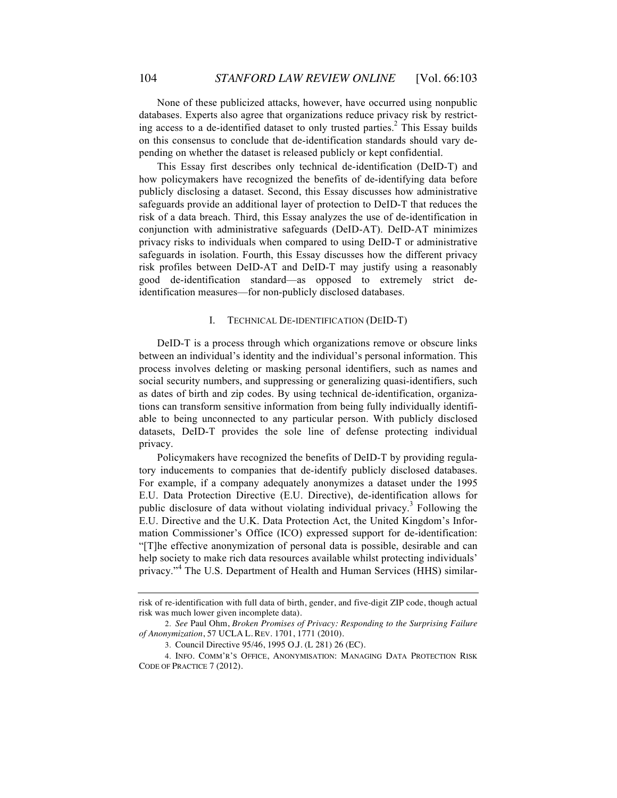None of these publicized attacks, however, have occurred using nonpublic databases. Experts also agree that organizations reduce privacy risk by restricting access to a de-identified dataset to only trusted parties.<sup>2</sup> This Essay builds on this consensus to conclude that de-identification standards should vary depending on whether the dataset is released publicly or kept confidential.

This Essay first describes only technical de-identification (DeID-T) and how policymakers have recognized the benefits of de-identifying data before publicly disclosing a dataset. Second, this Essay discusses how administrative safeguards provide an additional layer of protection to DeID-T that reduces the risk of a data breach. Third, this Essay analyzes the use of de-identification in conjunction with administrative safeguards (DeID-AT). DeID-AT minimizes privacy risks to individuals when compared to using DeID-T or administrative safeguards in isolation. Fourth, this Essay discusses how the different privacy risk profiles between DeID-AT and DeID-T may justify using a reasonably good de-identification standard—as opposed to extremely strict deidentification measures—for non-publicly disclosed databases.

#### I. TECHNICAL DE-IDENTIFICATION (DEID-T)

DeID-T is a process through which organizations remove or obscure links between an individual's identity and the individual's personal information. This process involves deleting or masking personal identifiers, such as names and social security numbers, and suppressing or generalizing quasi-identifiers, such as dates of birth and zip codes. By using technical de-identification, organizations can transform sensitive information from being fully individually identifiable to being unconnected to any particular person. With publicly disclosed datasets, DeID-T provides the sole line of defense protecting individual privacy.

Policymakers have recognized the benefits of DeID-T by providing regulatory inducements to companies that de-identify publicly disclosed databases. For example, if a company adequately anonymizes a dataset under the 1995 E.U. Data Protection Directive (E.U. Directive), de-identification allows for public disclosure of data without violating individual privacy.<sup>3</sup> Following the E.U. Directive and the U.K. Data Protection Act, the United Kingdom's Information Commissioner's Office (ICO) expressed support for de-identification: "[T]he effective anonymization of personal data is possible, desirable and can help society to make rich data resources available whilst protecting individuals' privacy."<sup>4</sup> The U.S. Department of Health and Human Services (HHS) similar-

risk of re-identification with full data of birth, gender, and five-digit ZIP code, though actual risk was much lower given incomplete data).

<sup>2.</sup> *See* Paul Ohm, *Broken Promises of Privacy: Responding to the Surprising Failure of Anonymization*, 57 UCLA L. REV. 1701, 1771 (2010).

<sup>3.</sup> Council Directive 95/46, 1995 O.J. (L 281) 26 (EC).

<sup>4.</sup> INFO. COMM'R'S OFFICE, ANONYMISATION: MANAGING DATA PROTECTION RISK CODE OF PRACTICE 7 (2012).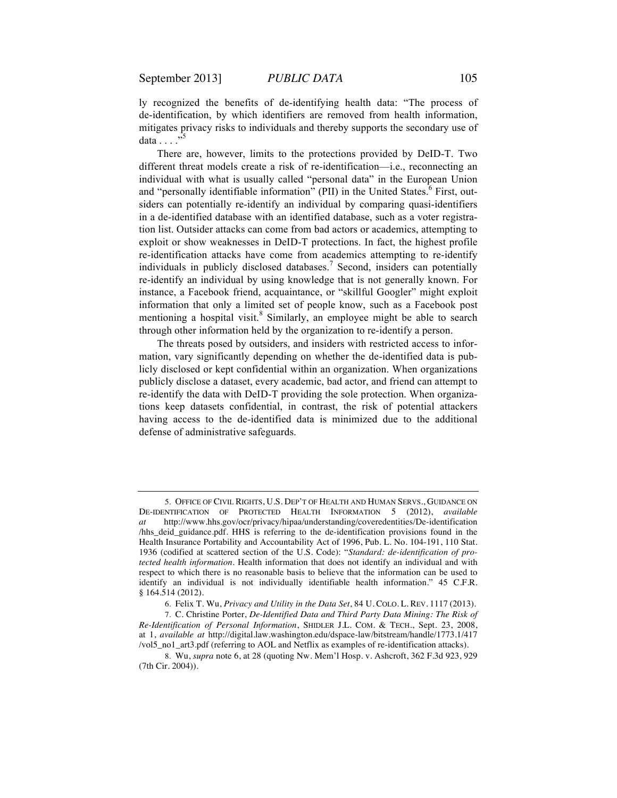ly recognized the benefits of de-identifying health data: "The process of de-identification, by which identifiers are removed from health information, mitigates privacy risks to individuals and thereby supports the secondary use of data  $\ldots$   $\frac{1}{25}$ 

There are, however, limits to the protections provided by DeID-T. Two different threat models create a risk of re-identification—i.e., reconnecting an individual with what is usually called "personal data" in the European Union and "personally identifiable information" (PII) in the United States. $6$  First, outsiders can potentially re-identify an individual by comparing quasi-identifiers in a de-identified database with an identified database, such as a voter registration list. Outsider attacks can come from bad actors or academics, attempting to exploit or show weaknesses in DeID-T protections. In fact, the highest profile re-identification attacks have come from academics attempting to re-identify individuals in publicly disclosed databases.<sup>7</sup> Second, insiders can potentially re-identify an individual by using knowledge that is not generally known. For instance, a Facebook friend, acquaintance, or "skillful Googler" might exploit information that only a limited set of people know, such as a Facebook post mentioning a hospital visit. $8 \text{ Similarly}$ , an employee might be able to search through other information held by the organization to re-identify a person.

The threats posed by outsiders, and insiders with restricted access to information, vary significantly depending on whether the de-identified data is publicly disclosed or kept confidential within an organization. When organizations publicly disclose a dataset, every academic, bad actor, and friend can attempt to re-identify the data with DeID-T providing the sole protection. When organizations keep datasets confidential, in contrast, the risk of potential attackers having access to the de-identified data is minimized due to the additional defense of administrative safeguards.

6. Felix T. Wu, *Privacy and Utility in the Data Set*, 84 U. COLO. L. REV. 1117 (2013).

7. C. Christine Porter, *De-Identified Data and Third Party Data Mining: The Risk of Re-Identification of Personal Information*, SHIDLER J.L. COM. & TECH., Sept. 23, 2008, at 1, *available at* http://digital.law.washington.edu/dspace-law/bitstream/handle/1773.1/417 /vol5\_no1\_art3.pdf (referring to AOL and Netflix as examples of re-identification attacks).

8. Wu, *supra* note 6, at 28 (quoting Nw. Mem'l Hosp. v. Ashcroft, 362 F.3d 923, 929 (7th Cir. 2004)).

<sup>5.</sup> OFFICE OF CIVIL RIGHTS, U.S. DEP'T OF HEALTH AND HUMAN SERVS., GUIDANCE ON DE-IDENTIFICATION OF PROTECTED HEALTH INFORMATION 5 (2012), *available at* http://www.hhs.gov/ocr/privacy/hipaa/understanding/coveredentities/De-identification /hhs\_deid\_guidance.pdf. HHS is referring to the de-identification provisions found in the Health Insurance Portability and Accountability Act of 1996, Pub. L. No. 104-191, 110 Stat. 1936 (codified at scattered section of the U.S. Code): "*Standard: de-identification of protected health information.* Health information that does not identify an individual and with respect to which there is no reasonable basis to believe that the information can be used to identify an individual is not individually identifiable health information." 45 C.F.R. § 164.514 (2012).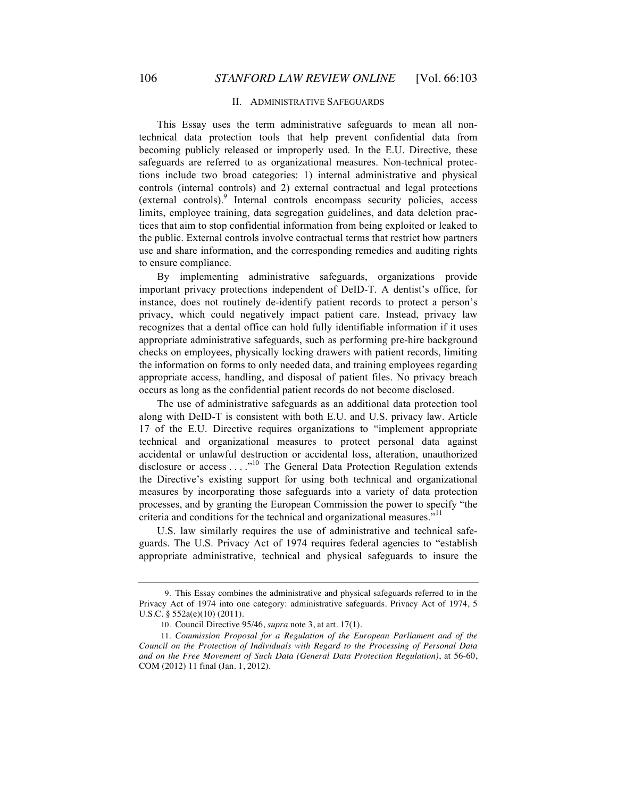### II. ADMINISTRATIVE SAFEGUARDS

This Essay uses the term administrative safeguards to mean all nontechnical data protection tools that help prevent confidential data from becoming publicly released or improperly used. In the E.U. Directive, these safeguards are referred to as organizational measures. Non-technical protections include two broad categories: 1) internal administrative and physical controls (internal controls) and 2) external contractual and legal protections (external controls).<sup>9</sup> Internal controls encompass security policies, access limits, employee training, data segregation guidelines, and data deletion practices that aim to stop confidential information from being exploited or leaked to the public. External controls involve contractual terms that restrict how partners use and share information, and the corresponding remedies and auditing rights to ensure compliance.

By implementing administrative safeguards, organizations provide important privacy protections independent of DeID-T. A dentist's office, for instance, does not routinely de-identify patient records to protect a person's privacy, which could negatively impact patient care. Instead, privacy law recognizes that a dental office can hold fully identifiable information if it uses appropriate administrative safeguards, such as performing pre-hire background checks on employees, physically locking drawers with patient records, limiting the information on forms to only needed data, and training employees regarding appropriate access, handling, and disposal of patient files. No privacy breach occurs as long as the confidential patient records do not become disclosed.

The use of administrative safeguards as an additional data protection tool along with DeID-T is consistent with both E.U. and U.S. privacy law. Article 17 of the E.U. Directive requires organizations to "implement appropriate technical and organizational measures to protect personal data against accidental or unlawful destruction or accidental loss, alteration, unauthorized disclosure or access . . . .<sup>10</sup> The General Data Protection Regulation extends the Directive's existing support for using both technical and organizational measures by incorporating those safeguards into a variety of data protection processes, and by granting the European Commission the power to specify "the criteria and conditions for the technical and organizational measures."<sup>11</sup>

U.S. law similarly requires the use of administrative and technical safeguards. The U.S. Privacy Act of 1974 requires federal agencies to "establish appropriate administrative, technical and physical safeguards to insure the

<sup>9.</sup> This Essay combines the administrative and physical safeguards referred to in the Privacy Act of 1974 into one category: administrative safeguards. Privacy Act of 1974, 5 U.S.C. § 552a(e)(10) (2011).

<sup>10.</sup> Council Directive 95/46, *supra* note 3, at art. 17(1).

<sup>11.</sup> *Commission Proposal for a Regulation of the European Parliament and of the Council on the Protection of Individuals with Regard to the Processing of Personal Data and on the Free Movement of Such Data (General Data Protection Regulation)*, at 56-60, COM (2012) 11 final (Jan. 1, 2012).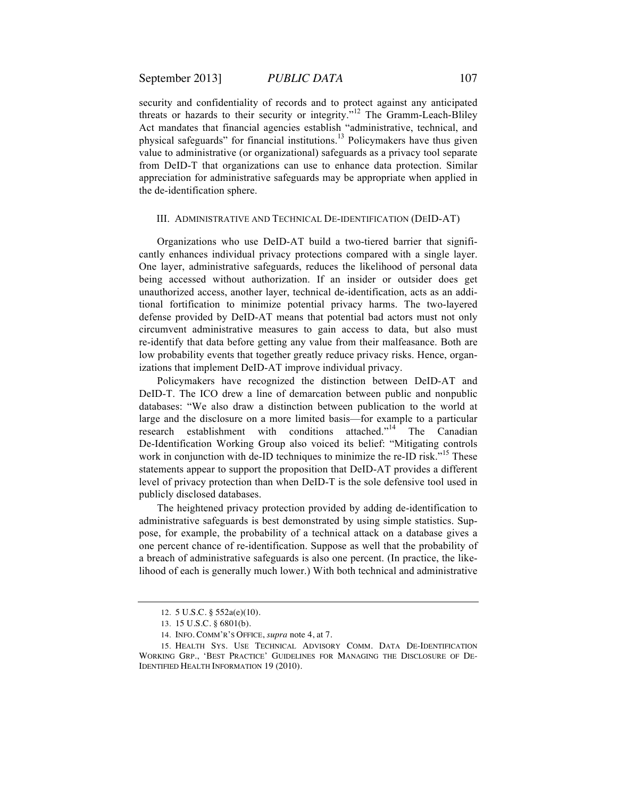security and confidentiality of records and to protect against any anticipated threats or hazards to their security or integrity."<sup>12</sup> The Gramm-Leach-Bliley Act mandates that financial agencies establish "administrative, technical, and physical safeguards" for financial institutions.<sup>13</sup> Policymakers have thus given value to administrative (or organizational) safeguards as a privacy tool separate from DeID-T that organizations can use to enhance data protection. Similar appreciation for administrative safeguards may be appropriate when applied in the de-identification sphere.

#### III. ADMINISTRATIVE AND TECHNICAL DE-IDENTIFICATION (DEID-AT)

Organizations who use DeID-AT build a two-tiered barrier that significantly enhances individual privacy protections compared with a single layer. One layer, administrative safeguards, reduces the likelihood of personal data being accessed without authorization. If an insider or outsider does get unauthorized access, another layer, technical de-identification, acts as an additional fortification to minimize potential privacy harms. The two-layered defense provided by DeID-AT means that potential bad actors must not only circumvent administrative measures to gain access to data, but also must re-identify that data before getting any value from their malfeasance. Both are low probability events that together greatly reduce privacy risks. Hence, organizations that implement DeID-AT improve individual privacy.

Policymakers have recognized the distinction between DeID-AT and DeID-T. The ICO drew a line of demarcation between public and nonpublic databases: "We also draw a distinction between publication to the world at large and the disclosure on a more limited basis—for example to a particular research establishment with conditions attached."<sup>14</sup> The Canadian De-Identification Working Group also voiced its belief: "Mitigating controls work in conjunction with de-ID techniques to minimize the re-ID risk."<sup>15</sup> These statements appear to support the proposition that DeID-AT provides a different level of privacy protection than when DeID-T is the sole defensive tool used in publicly disclosed databases.

The heightened privacy protection provided by adding de-identification to administrative safeguards is best demonstrated by using simple statistics. Suppose, for example, the probability of a technical attack on a database gives a one percent chance of re-identification. Suppose as well that the probability of a breach of administrative safeguards is also one percent. (In practice, the likelihood of each is generally much lower.) With both technical and administrative

<sup>12.</sup> 5 U.S.C. § 552a(e)(10).

<sup>13.</sup> 15 U.S.C. § 6801(b).

<sup>14.</sup> INFO. COMM'R'S OFFICE, *supra* note 4, at 7.

<sup>15.</sup> HEALTH SYS. USE TECHNICAL ADVISORY COMM. DATA DE-IDENTIFICATION WORKING GRP., 'BEST PRACTICE' GUIDELINES FOR MANAGING THE DISCLOSURE OF DE-IDENTIFIED HEALTH INFORMATION 19 (2010).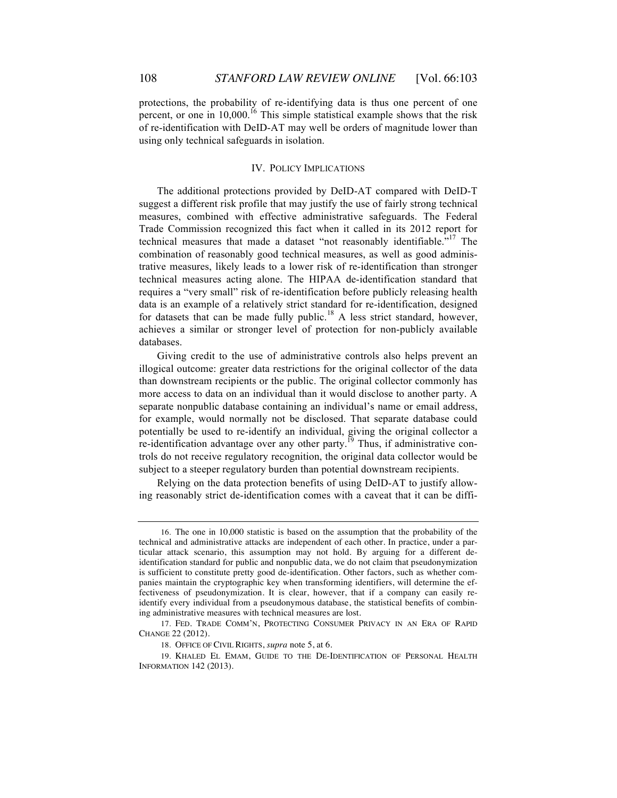protections, the probability of re-identifying data is thus one percent of one percent, or one in  $10,000$ .<sup>16</sup> This simple statistical example shows that the risk of re-identification with DeID-AT may well be orders of magnitude lower than using only technical safeguards in isolation.

#### IV. POLICY IMPLICATIONS

The additional protections provided by DeID-AT compared with DeID-T suggest a different risk profile that may justify the use of fairly strong technical measures, combined with effective administrative safeguards. The Federal Trade Commission recognized this fact when it called in its 2012 report for technical measures that made a dataset "not reasonably identifiable."<sup>17</sup> The combination of reasonably good technical measures, as well as good administrative measures, likely leads to a lower risk of re-identification than stronger technical measures acting alone. The HIPAA de-identification standard that requires a "very small" risk of re-identification before publicly releasing health data is an example of a relatively strict standard for re-identification, designed for datasets that can be made fully public.<sup>18</sup> A less strict standard, however, achieves a similar or stronger level of protection for non-publicly available databases.

Giving credit to the use of administrative controls also helps prevent an illogical outcome: greater data restrictions for the original collector of the data than downstream recipients or the public. The original collector commonly has more access to data on an individual than it would disclose to another party. A separate nonpublic database containing an individual's name or email address, for example, would normally not be disclosed. That separate database could potentially be used to re-identify an individual, giving the original collector a re-identification advantage over any other party.<sup>19</sup> Thus, if administrative controls do not receive regulatory recognition, the original data collector would be subject to a steeper regulatory burden than potential downstream recipients.

Relying on the data protection benefits of using DeID-AT to justify allowing reasonably strict de-identification comes with a caveat that it can be diffi-

<sup>16.</sup> The one in 10,000 statistic is based on the assumption that the probability of the technical and administrative attacks are independent of each other. In practice, under a particular attack scenario, this assumption may not hold. By arguing for a different deidentification standard for public and nonpublic data, we do not claim that pseudonymization is sufficient to constitute pretty good de-identification. Other factors, such as whether companies maintain the cryptographic key when transforming identifiers, will determine the effectiveness of pseudonymization. It is clear, however, that if a company can easily reidentify every individual from a pseudonymous database, the statistical benefits of combining administrative measures with technical measures are lost.

<sup>17.</sup> FED. TRADE COMM'N, PROTECTING CONSUMER PRIVACY IN AN ERA OF RAPID CHANGE 22 (2012).

<sup>18.</sup> OFFICE OF CIVIL RIGHTS, *supra* note 5, at 6.

<sup>19.</sup> KHALED EL EMAM, GUIDE TO THE DE-IDENTIFICATION OF PERSONAL HEALTH INFORMATION 142 (2013).